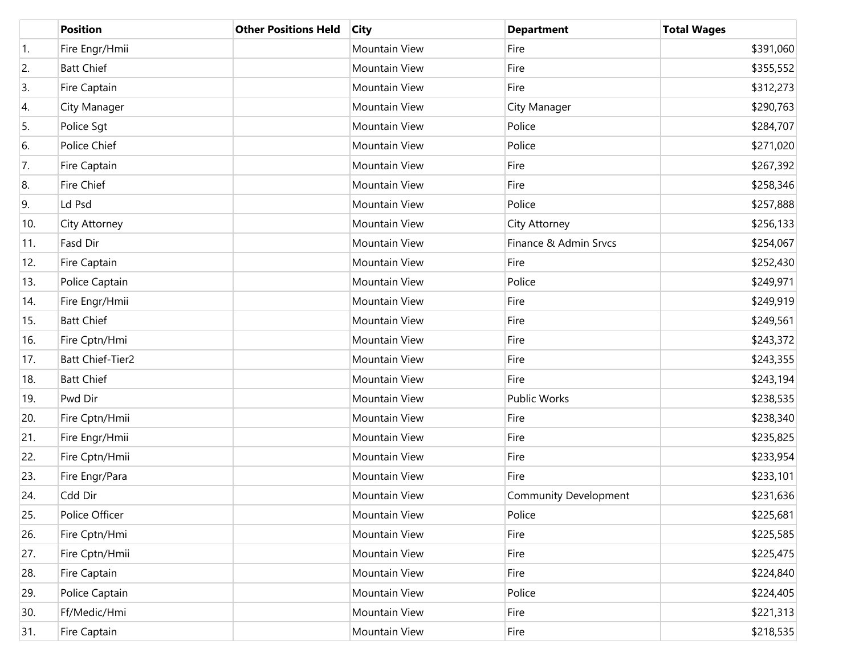|                  | <b>Position</b>         | <b>Other Positions Held</b> | <b>City</b>          | <b>Department</b>            | <b>Total Wages</b> |
|------------------|-------------------------|-----------------------------|----------------------|------------------------------|--------------------|
| $\overline{1}$ . | Fire Engr/Hmii          |                             | Mountain View        | Fire                         | \$391,060          |
| 2.               | <b>Batt Chief</b>       |                             | Mountain View        | Fire                         | \$355,552          |
| 3.               | Fire Captain            |                             | Mountain View        | Fire                         | \$312,273          |
| 4.               | City Manager            |                             | Mountain View        | City Manager                 | \$290,763          |
| 5.               | Police Sgt              |                             | <b>Mountain View</b> | Police                       | \$284,707          |
| 6.               | Police Chief            |                             | Mountain View        | Police                       | \$271,020          |
| 7.               | Fire Captain            |                             | Mountain View        | Fire                         | \$267,392          |
| 8.               | Fire Chief              |                             | Mountain View        | Fire                         | \$258,346          |
| 9.               | Ld Psd                  |                             | Mountain View        | Police                       | \$257,888          |
| 10.              | City Attorney           |                             | Mountain View        | City Attorney                | \$256,133          |
| 11.              | Fasd Dir                |                             | Mountain View        | Finance & Admin Srvcs        | \$254,067          |
| 12.              | Fire Captain            |                             | Mountain View        | Fire                         | \$252,430          |
| 13.              | Police Captain          |                             | Mountain View        | Police                       | \$249,971          |
| 14.              | Fire Engr/Hmii          |                             | <b>Mountain View</b> | Fire                         | \$249,919          |
| 15.              | <b>Batt Chief</b>       |                             | Mountain View        | Fire                         | \$249,561          |
| 16.              | Fire Cptn/Hmi           |                             | Mountain View        | Fire                         | \$243,372          |
| 17.              | <b>Batt Chief-Tier2</b> |                             | Mountain View        | Fire                         | \$243,355          |
| 18.              | <b>Batt Chief</b>       |                             | Mountain View        | Fire                         | \$243,194          |
| 19.              | Pwd Dir                 |                             | Mountain View        | <b>Public Works</b>          | \$238,535          |
| 20.              | Fire Cptn/Hmii          |                             | Mountain View        | Fire                         | \$238,340          |
| 21.              | Fire Engr/Hmii          |                             | Mountain View        | Fire                         | \$235,825          |
| 22.              | Fire Cptn/Hmii          |                             | Mountain View        | Fire                         | \$233,954          |
| 23.              | Fire Engr/Para          |                             | Mountain View        | Fire                         | \$233,101          |
| 24.              | Cdd Dir                 |                             | Mountain View        | <b>Community Development</b> | \$231,636          |
| 25.              | Police Officer          |                             | Mountain View        | Police                       | \$225,681          |
| 26.              | Fire Cptn/Hmi           |                             | Mountain View        | Fire                         | \$225,585          |
| 27.              | Fire Cptn/Hmii          |                             | Mountain View        | Fire                         | \$225,475          |
| 28.              | Fire Captain            |                             | Mountain View        | Fire                         | \$224,840          |
| 29.              | Police Captain          |                             | Mountain View        | Police                       | \$224,405          |
| 30.              | Ff/Medic/Hmi            |                             | Mountain View        | Fire                         | \$221,313          |
| 31.              | Fire Captain            |                             | Mountain View        | Fire                         | \$218,535          |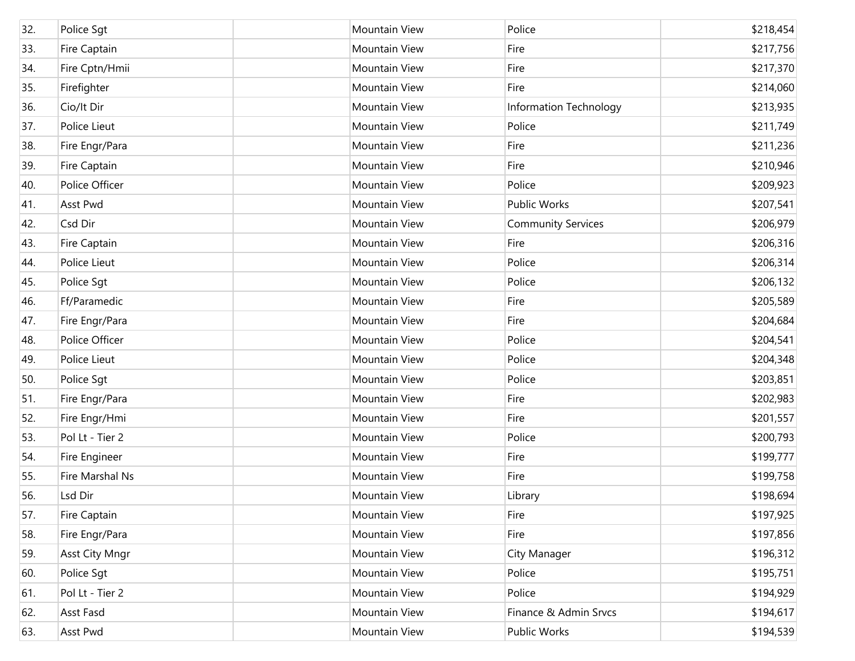| 32. | Police Sgt            | <b>Mountain View</b> | Police                    | \$218,454 |
|-----|-----------------------|----------------------|---------------------------|-----------|
| 33. | Fire Captain          | <b>Mountain View</b> | Fire                      | \$217,756 |
| 34. | Fire Cptn/Hmii        | <b>Mountain View</b> | Fire                      | \$217,370 |
| 35. | Firefighter           | <b>Mountain View</b> | Fire                      | \$214,060 |
| 36. | Cio/It Dir            | <b>Mountain View</b> | Information Technology    | \$213,935 |
| 37. | Police Lieut          | <b>Mountain View</b> | Police                    | \$211,749 |
| 38. | Fire Engr/Para        | <b>Mountain View</b> | Fire                      | \$211,236 |
| 39. | Fire Captain          | Mountain View        | Fire                      | \$210,946 |
| 40. | Police Officer        | <b>Mountain View</b> | Police                    | \$209,923 |
| 41. | Asst Pwd              | <b>Mountain View</b> | <b>Public Works</b>       | \$207,541 |
| 42. | Csd Dir               | <b>Mountain View</b> | <b>Community Services</b> | \$206,979 |
| 43. | Fire Captain          | <b>Mountain View</b> | Fire                      | \$206,316 |
| 44. | Police Lieut          | <b>Mountain View</b> | Police                    | \$206,314 |
| 45. | Police Sgt            | Mountain View        | Police                    | \$206,132 |
| 46. | Ff/Paramedic          | <b>Mountain View</b> | Fire                      | \$205,589 |
| 47. | Fire Engr/Para        | <b>Mountain View</b> | Fire                      | \$204,684 |
| 48. | Police Officer        | <b>Mountain View</b> | Police                    | \$204,541 |
| 49. | Police Lieut          | <b>Mountain View</b> | Police                    | \$204,348 |
| 50. | Police Sgt            | <b>Mountain View</b> | Police                    | \$203,851 |
| 51. | Fire Engr/Para        | <b>Mountain View</b> | Fire                      | \$202,983 |
| 52. | Fire Engr/Hmi         | <b>Mountain View</b> | Fire                      | \$201,557 |
| 53. | Pol Lt - Tier 2       | <b>Mountain View</b> | Police                    | \$200,793 |
| 54. | Fire Engineer         | <b>Mountain View</b> | Fire                      | \$199,777 |
| 55. | Fire Marshal Ns       | <b>Mountain View</b> | Fire                      | \$199,758 |
| 56. | Lsd Dir               | <b>Mountain View</b> | Library                   | \$198,694 |
| 57. | Fire Captain          | Mountain View        | Fire                      | \$197,925 |
| 58. | Fire Engr/Para        | Mountain View        | Fire                      | \$197,856 |
| 59. | <b>Asst City Mngr</b> | Mountain View        | City Manager              | \$196,312 |
| 60. | Police Sqt            | Mountain View        | Police                    | \$195,751 |
| 61. | Pol Lt - Tier 2       | Mountain View        | Police                    | \$194,929 |
| 62. | Asst Fasd             | Mountain View        | Finance & Admin Srvcs     | \$194,617 |
| 63. | Asst Pwd              | Mountain View        | Public Works              | \$194,539 |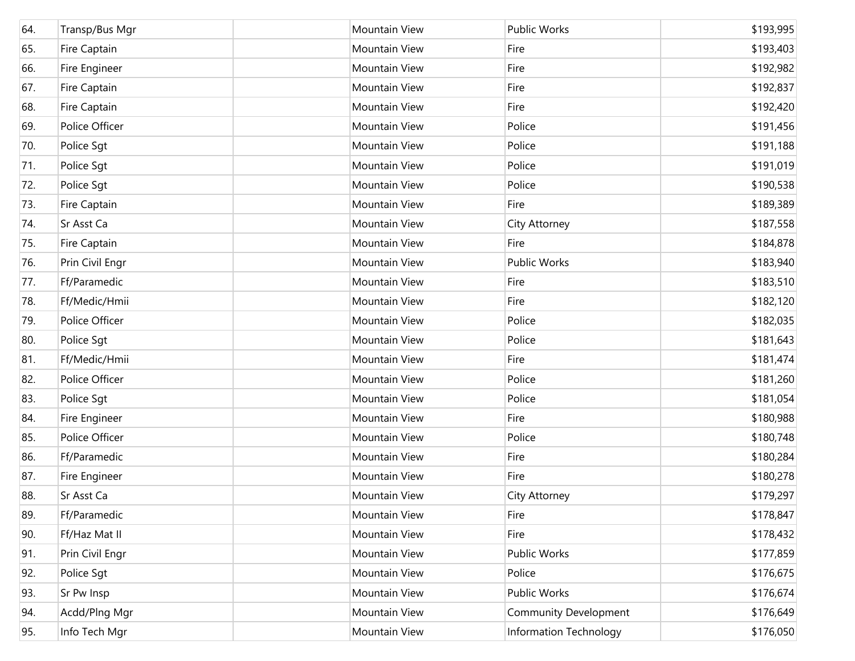| 64. | Transp/Bus Mgr  | Mountain View        | Public Works                 | \$193,995 |
|-----|-----------------|----------------------|------------------------------|-----------|
| 65. | Fire Captain    | Mountain View        | Fire                         | \$193,403 |
| 66. | Fire Engineer   | Mountain View        | Fire                         | \$192,982 |
| 67. | Fire Captain    | Mountain View        | Fire                         | \$192,837 |
| 68. | Fire Captain    | Mountain View        | Fire                         | \$192,420 |
| 69. | Police Officer  | Mountain View        | Police                       | \$191,456 |
| 70. | Police Sgt      | <b>Mountain View</b> | Police                       | \$191,188 |
| 71. | Police Sgt      | Mountain View        | Police                       | \$191,019 |
| 72. | Police Sgt      | <b>Mountain View</b> | Police                       | \$190,538 |
| 73. | Fire Captain    | Mountain View        | Fire                         | \$189,389 |
| 74. | Sr Asst Ca      | Mountain View        | City Attorney                | \$187,558 |
| 75. | Fire Captain    | Mountain View        | Fire                         | \$184,878 |
| 76. | Prin Civil Engr | <b>Mountain View</b> | <b>Public Works</b>          | \$183,940 |
| 77. | Ff/Paramedic    | Mountain View        | Fire                         | \$183,510 |
| 78. | Ff/Medic/Hmii   | <b>Mountain View</b> | Fire                         | \$182,120 |
| 79. | Police Officer  | Mountain View        | Police                       | \$182,035 |
| 80. | Police Sgt      | <b>Mountain View</b> | Police                       | \$181,643 |
| 81. | Ff/Medic/Hmii   | Mountain View        | Fire                         | \$181,474 |
| 82. | Police Officer  | <b>Mountain View</b> | Police                       | \$181,260 |
| 83. | Police Sgt      | Mountain View        | Police                       | \$181,054 |
| 84. | Fire Engineer   | <b>Mountain View</b> | Fire                         | \$180,988 |
| 85. | Police Officer  | Mountain View        | Police                       | \$180,748 |
| 86. | Ff/Paramedic    | Mountain View        | Fire                         | \$180,284 |
| 87. | Fire Engineer   | Mountain View        | Fire                         | \$180,278 |
| 88. | Sr Asst Ca      | <b>Mountain View</b> | City Attorney                | \$179,297 |
| 89. | Ff/Paramedic    | Mountain View        | Fire                         | \$178,847 |
| 90. | Ff/Haz Mat II   | Mountain View        | Fire                         | \$178,432 |
| 91. | Prin Civil Engr | Mountain View        | Public Works                 | \$177,859 |
| 92. | Police Sgt      | Mountain View        | Police                       | \$176,675 |
| 93. | Sr Pw Insp      | Mountain View        | Public Works                 | \$176,674 |
| 94. | Acdd/Plng Mgr   | Mountain View        | <b>Community Development</b> | \$176,649 |
| 95. | Info Tech Mgr   | Mountain View        | Information Technology       | \$176,050 |